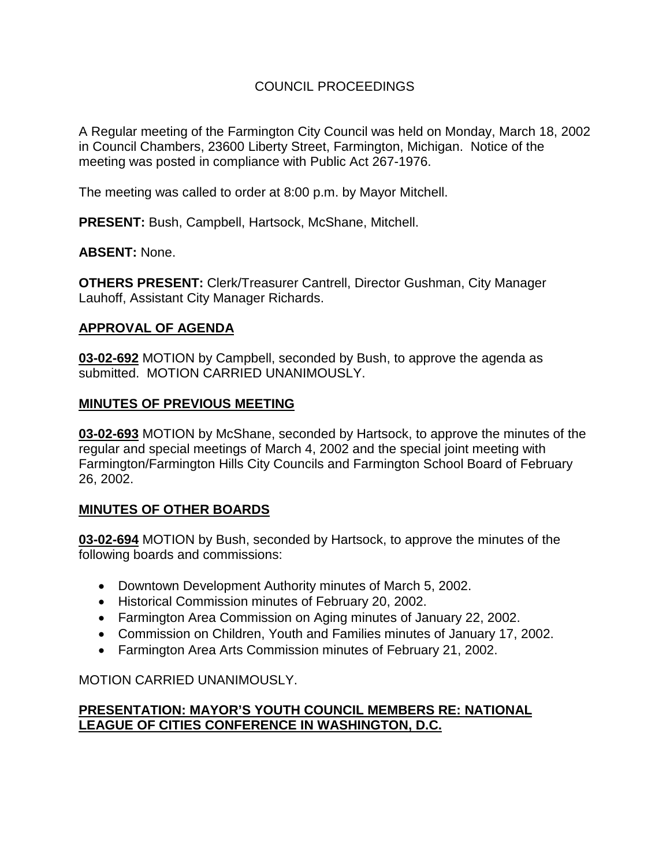# COUNCIL PROCEEDINGS

A Regular meeting of the Farmington City Council was held on Monday, March 18, 2002 in Council Chambers, 23600 Liberty Street, Farmington, Michigan. Notice of the meeting was posted in compliance with Public Act 267-1976.

The meeting was called to order at 8:00 p.m. by Mayor Mitchell.

**PRESENT:** Bush, Campbell, Hartsock, McShane, Mitchell.

## **ABSENT:** None.

**OTHERS PRESENT:** Clerk/Treasurer Cantrell, Director Gushman, City Manager Lauhoff, Assistant City Manager Richards.

## **APPROVAL OF AGENDA**

**03-02-692** MOTION by Campbell, seconded by Bush, to approve the agenda as submitted. MOTION CARRIED UNANIMOUSLY.

## **MINUTES OF PREVIOUS MEETING**

**03-02-693** MOTION by McShane, seconded by Hartsock, to approve the minutes of the regular and special meetings of March 4, 2002 and the special joint meeting with Farmington/Farmington Hills City Councils and Farmington School Board of February 26, 2002.

# **MINUTES OF OTHER BOARDS**

**03-02-694** MOTION by Bush, seconded by Hartsock, to approve the minutes of the following boards and commissions:

- Downtown Development Authority minutes of March 5, 2002.
- Historical Commission minutes of February 20, 2002.
- Farmington Area Commission on Aging minutes of January 22, 2002.
- Commission on Children, Youth and Families minutes of January 17, 2002.
- Farmington Area Arts Commission minutes of February 21, 2002.

# MOTION CARRIED UNANIMOUSLY.

## **PRESENTATION: MAYOR'S YOUTH COUNCIL MEMBERS RE: NATIONAL LEAGUE OF CITIES CONFERENCE IN WASHINGTON, D.C.**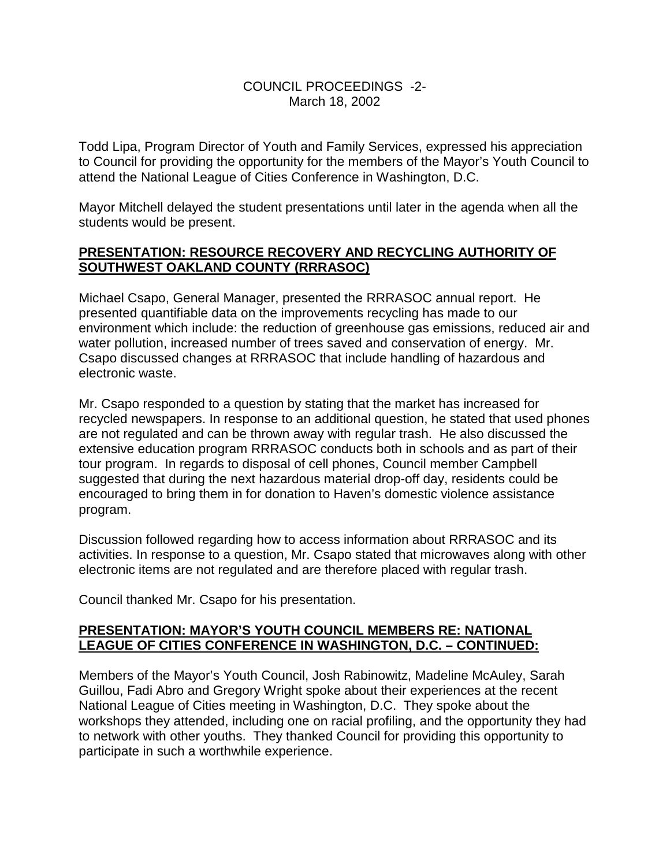### COUNCIL PROCEEDINGS -2- March 18, 2002

Todd Lipa, Program Director of Youth and Family Services, expressed his appreciation to Council for providing the opportunity for the members of the Mayor's Youth Council to attend the National League of Cities Conference in Washington, D.C.

Mayor Mitchell delayed the student presentations until later in the agenda when all the students would be present.

## **PRESENTATION: RESOURCE RECOVERY AND RECYCLING AUTHORITY OF SOUTHWEST OAKLAND COUNTY (RRRASOC)**

Michael Csapo, General Manager, presented the RRRASOC annual report. He presented quantifiable data on the improvements recycling has made to our environment which include: the reduction of greenhouse gas emissions, reduced air and water pollution, increased number of trees saved and conservation of energy. Mr. Csapo discussed changes at RRRASOC that include handling of hazardous and electronic waste.

Mr. Csapo responded to a question by stating that the market has increased for recycled newspapers. In response to an additional question, he stated that used phones are not regulated and can be thrown away with regular trash. He also discussed the extensive education program RRRASOC conducts both in schools and as part of their tour program. In regards to disposal of cell phones, Council member Campbell suggested that during the next hazardous material drop-off day, residents could be encouraged to bring them in for donation to Haven's domestic violence assistance program.

Discussion followed regarding how to access information about RRRASOC and its activities. In response to a question, Mr. Csapo stated that microwaves along with other electronic items are not regulated and are therefore placed with regular trash.

Council thanked Mr. Csapo for his presentation.

## **PRESENTATION: MAYOR'S YOUTH COUNCIL MEMBERS RE: NATIONAL LEAGUE OF CITIES CONFERENCE IN WASHINGTON, D.C. – CONTINUED:**

Members of the Mayor's Youth Council, Josh Rabinowitz, Madeline McAuley, Sarah Guillou, Fadi Abro and Gregory Wright spoke about their experiences at the recent National League of Cities meeting in Washington, D.C. They spoke about the workshops they attended, including one on racial profiling, and the opportunity they had to network with other youths. They thanked Council for providing this opportunity to participate in such a worthwhile experience.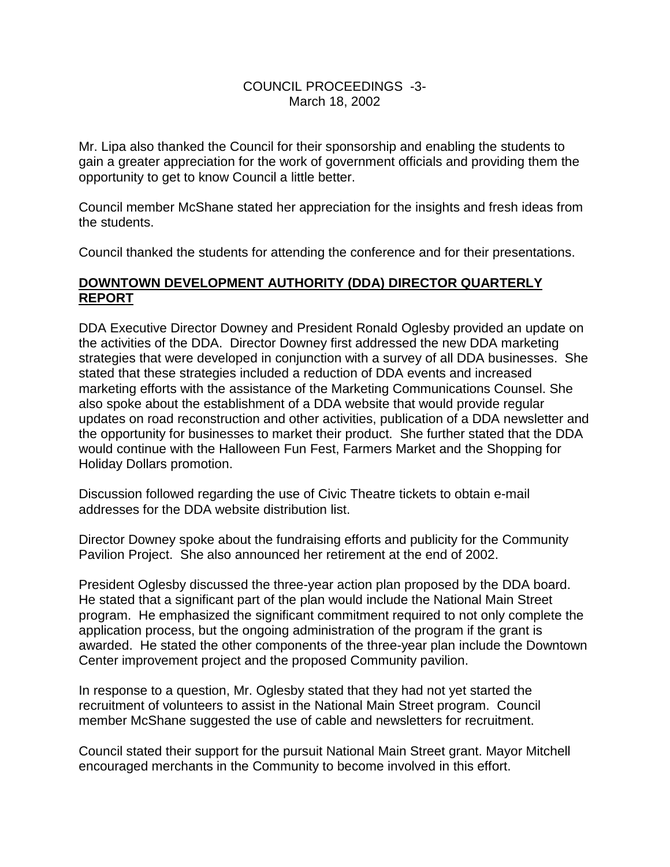### COUNCIL PROCEEDINGS -3- March 18, 2002

Mr. Lipa also thanked the Council for their sponsorship and enabling the students to gain a greater appreciation for the work of government officials and providing them the opportunity to get to know Council a little better.

Council member McShane stated her appreciation for the insights and fresh ideas from the students.

Council thanked the students for attending the conference and for their presentations.

## **DOWNTOWN DEVELOPMENT AUTHORITY (DDA) DIRECTOR QUARTERLY REPORT**

DDA Executive Director Downey and President Ronald Oglesby provided an update on the activities of the DDA. Director Downey first addressed the new DDA marketing strategies that were developed in conjunction with a survey of all DDA businesses. She stated that these strategies included a reduction of DDA events and increased marketing efforts with the assistance of the Marketing Communications Counsel. She also spoke about the establishment of a DDA website that would provide regular updates on road reconstruction and other activities, publication of a DDA newsletter and the opportunity for businesses to market their product. She further stated that the DDA would continue with the Halloween Fun Fest, Farmers Market and the Shopping for Holiday Dollars promotion.

Discussion followed regarding the use of Civic Theatre tickets to obtain e-mail addresses for the DDA website distribution list.

Director Downey spoke about the fundraising efforts and publicity for the Community Pavilion Project. She also announced her retirement at the end of 2002.

President Oglesby discussed the three-year action plan proposed by the DDA board. He stated that a significant part of the plan would include the National Main Street program. He emphasized the significant commitment required to not only complete the application process, but the ongoing administration of the program if the grant is awarded. He stated the other components of the three-year plan include the Downtown Center improvement project and the proposed Community pavilion.

In response to a question, Mr. Oglesby stated that they had not yet started the recruitment of volunteers to assist in the National Main Street program. Council member McShane suggested the use of cable and newsletters for recruitment.

Council stated their support for the pursuit National Main Street grant. Mayor Mitchell encouraged merchants in the Community to become involved in this effort.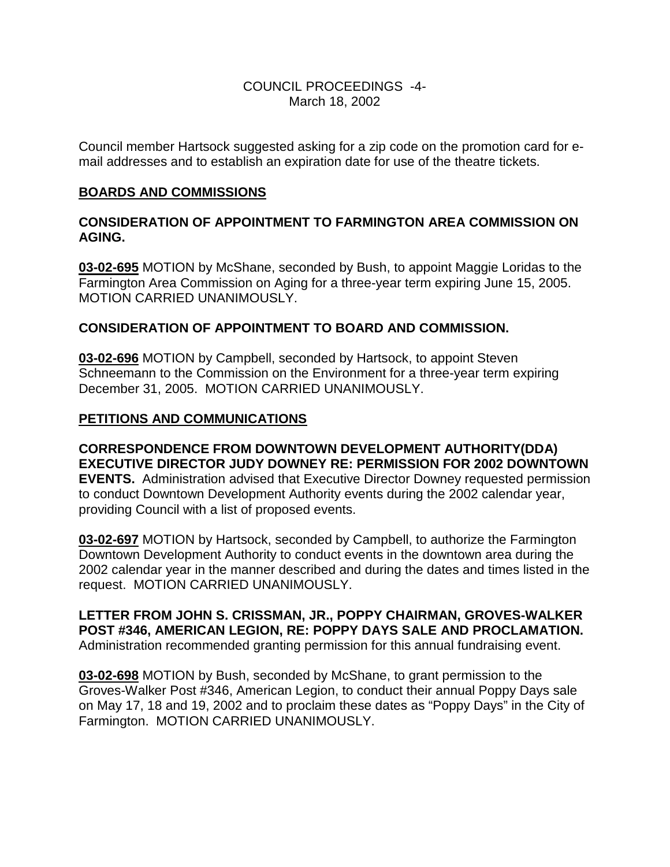### COUNCIL PROCEEDINGS -4- March 18, 2002

Council member Hartsock suggested asking for a zip code on the promotion card for email addresses and to establish an expiration date for use of the theatre tickets.

### **BOARDS AND COMMISSIONS**

## **CONSIDERATION OF APPOINTMENT TO FARMINGTON AREA COMMISSION ON AGING.**

**03-02-695** MOTION by McShane, seconded by Bush, to appoint Maggie Loridas to the Farmington Area Commission on Aging for a three-year term expiring June 15, 2005. MOTION CARRIED UNANIMOUSLY.

### **CONSIDERATION OF APPOINTMENT TO BOARD AND COMMISSION.**

**03-02-696** MOTION by Campbell, seconded by Hartsock, to appoint Steven Schneemann to the Commission on the Environment for a three-year term expiring December 31, 2005. MOTION CARRIED UNANIMOUSLY.

#### **PETITIONS AND COMMUNICATIONS**

**CORRESPONDENCE FROM DOWNTOWN DEVELOPMENT AUTHORITY(DDA) EXECUTIVE DIRECTOR JUDY DOWNEY RE: PERMISSION FOR 2002 DOWNTOWN EVENTS.** Administration advised that Executive Director Downey requested permission to conduct Downtown Development Authority events during the 2002 calendar year, providing Council with a list of proposed events.

**03-02-697** MOTION by Hartsock, seconded by Campbell, to authorize the Farmington Downtown Development Authority to conduct events in the downtown area during the 2002 calendar year in the manner described and during the dates and times listed in the request. MOTION CARRIED UNANIMOUSLY.

**LETTER FROM JOHN S. CRISSMAN, JR., POPPY CHAIRMAN, GROVES-WALKER POST #346, AMERICAN LEGION, RE: POPPY DAYS SALE AND PROCLAMATION.** Administration recommended granting permission for this annual fundraising event.

**03-02-698** MOTION by Bush, seconded by McShane, to grant permission to the Groves-Walker Post #346, American Legion, to conduct their annual Poppy Days sale on May 17, 18 and 19, 2002 and to proclaim these dates as "Poppy Days" in the City of Farmington. MOTION CARRIED UNANIMOUSLY.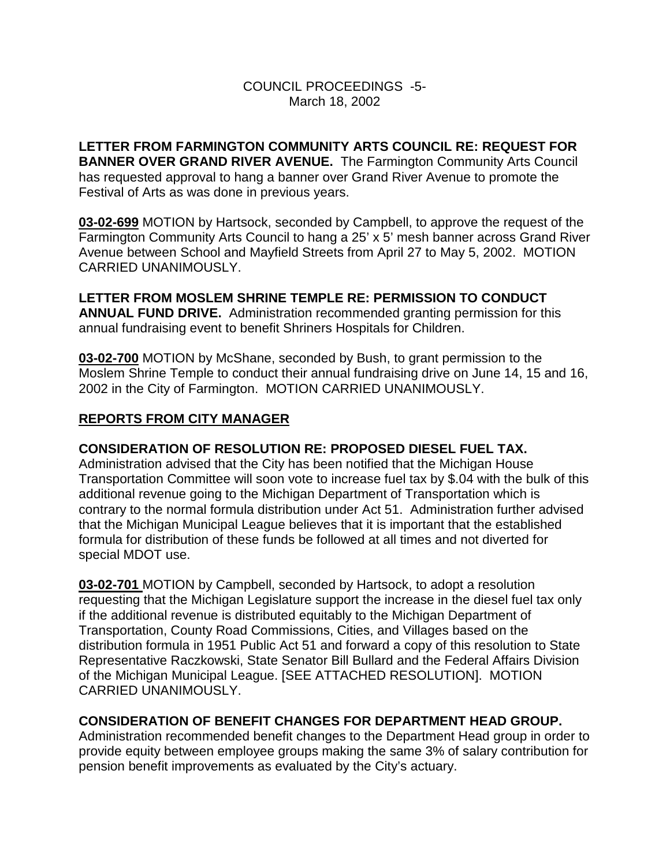## COUNCIL PROCEEDINGS -5- March 18, 2002

**LETTER FROM FARMINGTON COMMUNITY ARTS COUNCIL RE: REQUEST FOR BANNER OVER GRAND RIVER AVENUE.** The Farmington Community Arts Council has requested approval to hang a banner over Grand River Avenue to promote the Festival of Arts as was done in previous years.

**03-02-699** MOTION by Hartsock, seconded by Campbell, to approve the request of the Farmington Community Arts Council to hang a 25' x 5' mesh banner across Grand River Avenue between School and Mayfield Streets from April 27 to May 5, 2002. MOTION CARRIED UNANIMOUSLY.

**LETTER FROM MOSLEM SHRINE TEMPLE RE: PERMISSION TO CONDUCT ANNUAL FUND DRIVE.** Administration recommended granting permission for this annual fundraising event to benefit Shriners Hospitals for Children.

**03-02-700** MOTION by McShane, seconded by Bush, to grant permission to the Moslem Shrine Temple to conduct their annual fundraising drive on June 14, 15 and 16, 2002 in the City of Farmington. MOTION CARRIED UNANIMOUSLY.

## **REPORTS FROM CITY MANAGER**

### **CONSIDERATION OF RESOLUTION RE: PROPOSED DIESEL FUEL TAX.**

Administration advised that the City has been notified that the Michigan House Transportation Committee will soon vote to increase fuel tax by \$.04 with the bulk of this additional revenue going to the Michigan Department of Transportation which is contrary to the normal formula distribution under Act 51. Administration further advised that the Michigan Municipal League believes that it is important that the established formula for distribution of these funds be followed at all times and not diverted for special MDOT use.

**03-02-701** MOTION by Campbell, seconded by Hartsock, to adopt a resolution requesting that the Michigan Legislature support the increase in the diesel fuel tax only if the additional revenue is distributed equitably to the Michigan Department of Transportation, County Road Commissions, Cities, and Villages based on the distribution formula in 1951 Public Act 51 and forward a copy of this resolution to State Representative Raczkowski, State Senator Bill Bullard and the Federal Affairs Division of the Michigan Municipal League. [SEE ATTACHED RESOLUTION]. MOTION CARRIED UNANIMOUSLY.

### **CONSIDERATION OF BENEFIT CHANGES FOR DEPARTMENT HEAD GROUP.**

Administration recommended benefit changes to the Department Head group in order to provide equity between employee groups making the same 3% of salary contribution for pension benefit improvements as evaluated by the City's actuary.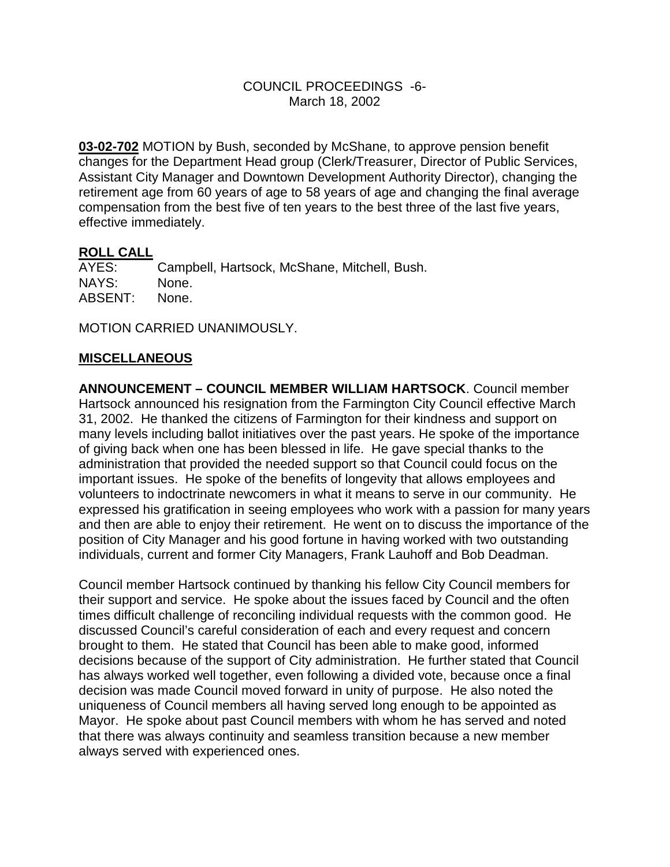#### COUNCIL PROCEEDINGS -6- March 18, 2002

**03-02-702** MOTION by Bush, seconded by McShane, to approve pension benefit changes for the Department Head group (Clerk/Treasurer, Director of Public Services, Assistant City Manager and Downtown Development Authority Director), changing the retirement age from 60 years of age to 58 years of age and changing the final average compensation from the best five of ten years to the best three of the last five years, effective immediately.

### **ROLL CALL**

AYES: Campbell, Hartsock, McShane, Mitchell, Bush.<br>NAYS: None. NAYS: ABSENT: None.

MOTION CARRIED UNANIMOUSLY.

### **MISCELLANEOUS**

**ANNOUNCEMENT – COUNCIL MEMBER WILLIAM HARTSOCK**. Council member Hartsock announced his resignation from the Farmington City Council effective March 31, 2002. He thanked the citizens of Farmington for their kindness and support on many levels including ballot initiatives over the past years. He spoke of the importance of giving back when one has been blessed in life. He gave special thanks to the administration that provided the needed support so that Council could focus on the important issues. He spoke of the benefits of longevity that allows employees and volunteers to indoctrinate newcomers in what it means to serve in our community. He expressed his gratification in seeing employees who work with a passion for many years and then are able to enjoy their retirement. He went on to discuss the importance of the position of City Manager and his good fortune in having worked with two outstanding individuals, current and former City Managers, Frank Lauhoff and Bob Deadman.

Council member Hartsock continued by thanking his fellow City Council members for their support and service. He spoke about the issues faced by Council and the often times difficult challenge of reconciling individual requests with the common good. He discussed Council's careful consideration of each and every request and concern brought to them. He stated that Council has been able to make good, informed decisions because of the support of City administration. He further stated that Council has always worked well together, even following a divided vote, because once a final decision was made Council moved forward in unity of purpose. He also noted the uniqueness of Council members all having served long enough to be appointed as Mayor. He spoke about past Council members with whom he has served and noted that there was always continuity and seamless transition because a new member always served with experienced ones.